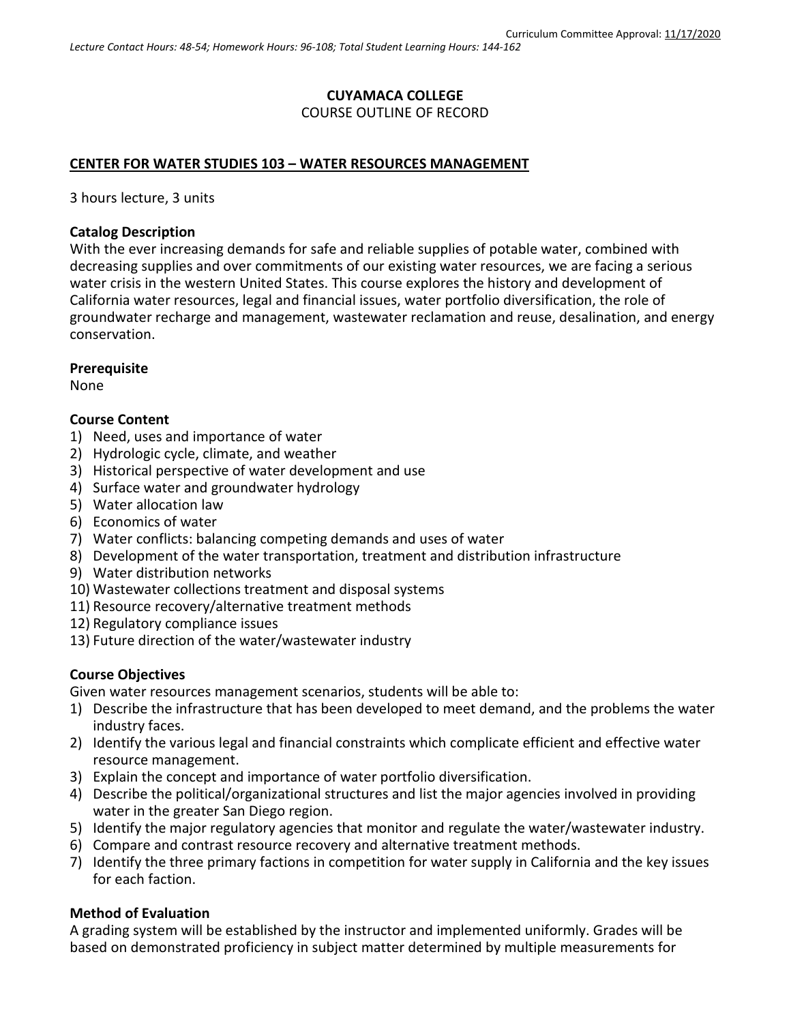# **CUYAMACA COLLEGE** COURSE OUTLINE OF RECORD

### **CENTER FOR WATER STUDIES 103 – WATER RESOURCES MANAGEMENT**

3 hours lecture, 3 units

### **Catalog Description**

With the ever increasing demands for safe and reliable supplies of potable water, combined with decreasing supplies and over commitments of our existing water resources, we are facing a serious water crisis in the western United States. This course explores the history and development of California water resources, legal and financial issues, water portfolio diversification, the role of groundwater recharge and management, wastewater reclamation and reuse, desalination, and energy conservation.

**Prerequisite**

None

### **Course Content**

- 1) Need, uses and importance of water
- 2) Hydrologic cycle, climate, and weather
- 3) Historical perspective of water development and use
- 4) Surface water and groundwater hydrology
- 5) Water allocation law
- 6) Economics of water
- 7) Water conflicts: balancing competing demands and uses of water
- 8) Development of the water transportation, treatment and distribution infrastructure
- 9) Water distribution networks
- 10) Wastewater collections treatment and disposal systems
- 11) Resource recovery/alternative treatment methods
- 12) Regulatory compliance issues
- 13) Future direction of the water/wastewater industry

### **Course Objectives**

Given water resources management scenarios, students will be able to:

- 1) Describe the infrastructure that has been developed to meet demand, and the problems the water industry faces.
- 2) Identify the various legal and financial constraints which complicate efficient and effective water resource management.
- 3) Explain the concept and importance of water portfolio diversification.
- 4) Describe the political/organizational structures and list the major agencies involved in providing water in the greater San Diego region.
- 5) Identify the major regulatory agencies that monitor and regulate the water/wastewater industry.
- 6) Compare and contrast resource recovery and alternative treatment methods.
- 7) Identify the three primary factions in competition for water supply in California and the key issues for each faction.

### **Method of Evaluation**

A grading system will be established by the instructor and implemented uniformly. Grades will be based on demonstrated proficiency in subject matter determined by multiple measurements for